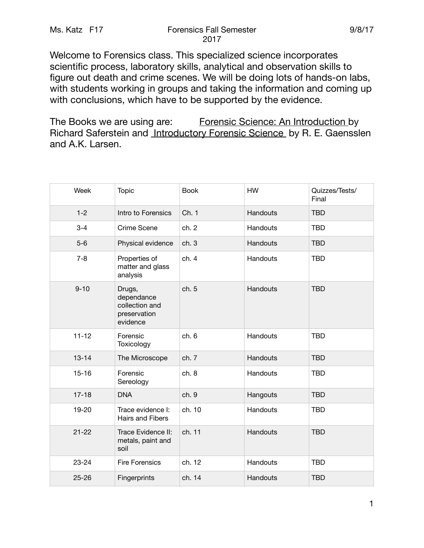Welcome to Forensics class. This specialized science incorporates scientific process, laboratory skills, analytical and observation skills to figure out death and crime scenes. We will be doing lots of hands-on labs, with students working in groups and taking the information and coming up with conclusions, which have to be supported by the evidence.

The Books we are using are: Forensic Science: An Introduction by Richard Saferstein and Introductory Forensic Science by R. E. Gaensslen and A.K. Larsen.

| Week      | <b>Topic</b>                                                       | <b>Book</b> | <b>HW</b> | Quizzes/Tests/<br>Final |
|-----------|--------------------------------------------------------------------|-------------|-----------|-------------------------|
| $1 - 2$   | Intro to Forensics                                                 | Ch. 1       | Handouts  | <b>TBD</b>              |
| $3 - 4$   | Crime Scene                                                        | ch. 2       | Handouts  | <b>TBD</b>              |
| $5-6$     | Physical evidence                                                  | ch.3        | Handouts  | <b>TBD</b>              |
| $7 - 8$   | Properties of<br>matter and glass<br>analysis                      | ch.4        | Handouts  | <b>TBD</b>              |
| $9 - 10$  | Drugs,<br>dependance<br>collection and<br>preservation<br>evidence | ch. 5       | Handouts  | <b>TBD</b>              |
| $11 - 12$ | Forensic<br>Toxicology                                             | ch.6        | Handouts  | <b>TBD</b>              |
| $13 - 14$ | The Microscope                                                     | ch. 7       | Handouts  | <b>TBD</b>              |
| $15 - 16$ | Forensic<br>Sereology                                              | ch.8        | Handouts  | <b>TBD</b>              |
| $17 - 18$ | <b>DNA</b>                                                         | ch. 9       | Hangouts  | <b>TBD</b>              |
| 19-20     | Trace evidence I:<br><b>Hairs and Fibers</b>                       | ch. 10      | Handouts  | <b>TBD</b>              |
| $21 - 22$ | Trace Evidence II:<br>metals, paint and<br>soil                    | ch. 11      | Handouts  | <b>TBD</b>              |
| $23 - 24$ | <b>Fire Forensics</b>                                              | ch. 12      | Handouts  | <b>TBD</b>              |
| $25 - 26$ | Fingerprints                                                       | ch. 14      | Handouts  | <b>TBD</b>              |